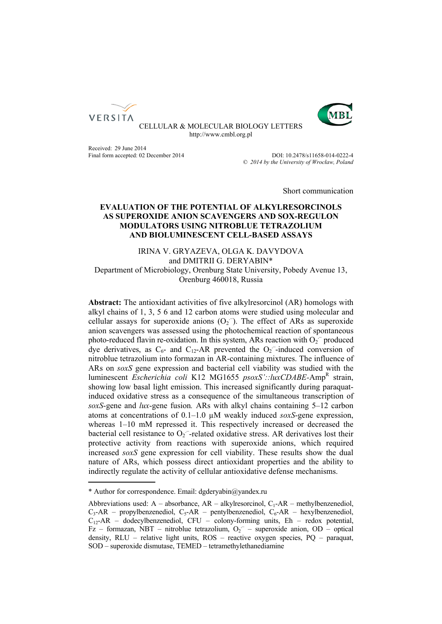



CELLULAR & MOLECULAR BIOLOGY LETTERS http://www.cmbl.org.pl

Received: 29 June 2014

Final form accepted: 02 December 2014 DOI: 10.2478/s11658-014-0222-4 Published online: *© 2014 by the University of Wrocław, Poland*

Short communication

# **EVALUATION OF THE POTENTIAL OF ALKYLRESORCINOLS AS SUPEROXIDE ANION SCAVENGERS AND SOX-REGULON MODULATORS USING NITROBLUE TETRAZOLIUM AND BIOLUMINESCENT CELL-BASED ASSAYS**

IRINA V. GRYAZEVA, ОLGA K. DAVYDOVA and DMITRII G. DERYABIN\* Department of Microbiology, Orenburg State University, Pobedy Avenue 13, Orenburg 460018, Russia

**Abstract:** The antioxidant activities of five alkylresorcinol (AR) homologs with alkyl chains of 1, 3, 5 6 and 12 carbon atoms were studied using molecular and cellular assays for superoxide anions  $(O_2^-)$ . The effect of ARs as superoxide anion scavengers was assessed using the photochemical reaction of spontaneous photo-reduced flavin re-oxidation. In this system, ARs reaction with  $O_2$ <sup>-</sup> produced dye derivatives, as  $C_6$ - and  $C_{12}$ -AR prevented the  $O_2$ -induced conversion of nitroblue tetrazolium into formazan in AR-containing mixtures. The influence of ARs on *soxS* gene expression and bacterial cell viability was studied with the luminescent *Escherichia coli* K12 MG1655 *psoxS'::luxCDABE-*Amp<sup>R</sup> strain, showing low basal light emission. This increased significantly during paraquatinduced oxidative stress as a consequence of the simultaneous transcription of *soxS*-gene and *lux*-gene fusion*.* ARs with alkyl chains containing 5–12 carbon atoms at concentrations of 0.1–1.0 µM weakly induced *soxS*-gene expression, whereas 1–10 mM repressed it. This respectively increased or decreased the bacterial cell resistance to  $O_2$ <sup>-</sup>-related oxidative stress. AR derivatives lost their protective activity from reactions with superoxide anions, which required increased *soxS* gene expression for cell viability. These results show the dual nature of ARs, which possess direct antioxidant properties and the ability to indirectly regulate the activity of cellular antioxidative defense mechanisms.

<sup>\*</sup> Author for correspondence. Email: dgderyabin@yandex.ru

Abbreviations used:  $A -$ absorbance,  $AR -$ alkylresorcinol,  $C_1 - AR -$ methylbenzenediol,  $C_3$ -AR – propylbenzenediol,  $C_5$ -AR – pentylbenzenediol,  $C_6$ -AR – hexylbenzenediol,  $C_{12}$ -AR – dodecylbenzenediol, CFU – colony-forming units, Eh – redox potential, Fz – formazan, NBT – nitroblue tetrazolium,  $O_2$ <sup>-</sup> – superoxide anion, OD – optical density, RLU – relative light units, ROS – reactive oxygen species, PQ – paraquat, SOD – superoxide dismutase, TEMED – tetramethylethanediamine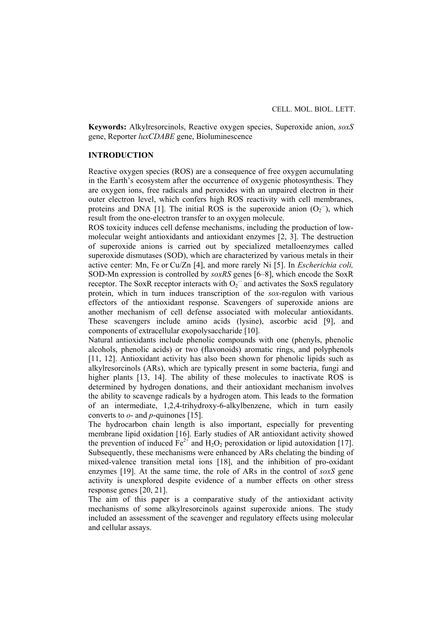**Keywords:** Alkylresorcinols, Reactive oxygen species, Superoxide anion, *soxS* gene, Reporter *luxCDABE* gene, Bioluminescence

# **INTRODUCTION**

Reactive oxygen species (ROS) are a consequence of free oxygen accumulating in the Earth's ecosystem after the occurrence of oxygenic photosynthesis. They are oxygen ions, free radicals and peroxides with an unpaired electron in their outer electron level, which confers high ROS reactivity with cell membranes, proteins and DNA [1]. The initial ROS is the superoxide anion  $(O_2^-)$ , which result from the one-electron transfer to an oxygen molecule.

ROS toxicity induces cell defense mechanisms, including the production of lowmolecular weight antioxidants and antioxidant enzymes [2, 3]. The destruction of superoxide anions is carried out by specialized metalloenzymes called superoxide dismutases (SOD), which are characterized by various metals in their active center: Mn, Fe or Cu/Zn [4], and more rarely Ni [5]. In *Escherichia coli,* SOD-Mn expression is controlled by *soxRS* genes [6–8], which encode the SoxR receptor. The SoxR receptor interacts with  $O_2$ <sup>-</sup> and activates the SoxS regulatory protein, which in turn induces transcription of the *sox*-regulon with various effectors of the antioxidant response. Scavengers of superoxide anions are another mechanism of cell defense associated with molecular antioxidants. These scavengers include amino acids (lysine), ascorbic acid [9], and components of extracellular exopolysaccharide [10].

Natural antioxidants include phenolic compounds with one (phenyls, phenolic alcohols, phenolic acids) or two (flavonoids) aromatic rings, and polyphenols [11, 12]. Antioxidant activity has also been shown for phenolic lipids such as alkylresorcinols (ARs), which are typically present in some bacteria, fungi and higher plants [13, 14]. The ability of these molecules to inactivate ROS is determined by hydrogen donations, and their antioxidant mechanism involves the ability to scavenge radicals by a hydrogen atom. This leads to the formation of an intermediate, 1,2,4-trihydroxy-6-alkylbenzene, which in turn easily converts to *o*- and *p*-quinones [15].

The hydrocarbon chain length is also important, especially for preventing membrane lipid oxidation [16]. Early studies of AR antioxidant activity showed the prevention of induced  $Fe^{2+}$  and H<sub>2</sub>O<sub>2</sub> peroxidation or lipid autoxidation [17]. Subsequently, these mechanisms were enhanced by ARs chelating the binding of mixed-valence transition metal ions [18], and the inhibition of pro-oxidant enzymes [19]. At the same time, the role of ARs in the control of *soxS* gene activity is unexplored despite evidence of a number effects on other stress response genes [20, 21].

The aim of this paper is a comparative study of the antioxidant activity mechanisms of some alkylresorcinols against superoxide anions. The study included an assessment of the scavenger and regulatory effects using molecular and cellular assays.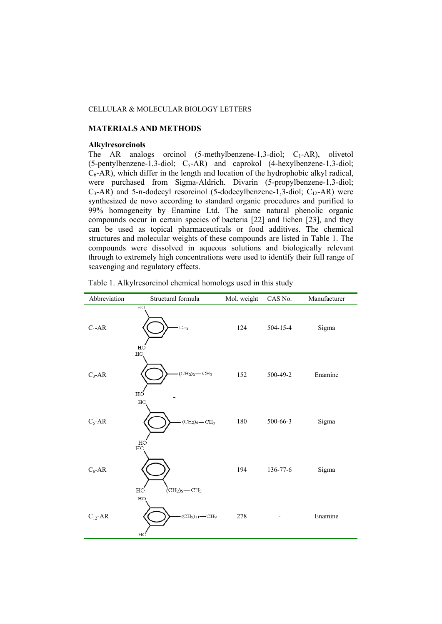# **MATERIALS AND METHODS**

### **Alkylresorcinols**

The AR analogs orcinol  $(5-methylbenzene-1,3-diol; C<sub>1</sub>-AR)$ , olivetol  $(5$ -pentylbenzene-1,3-diol;  $C_5$ -AR) and caprokol  $(4$ -hexylbenzene-1,3-diol;  $C_6$ -AR), which differ in the length and location of the hydrophobic alkyl radical, were purchased from Sigma-Aldrich. Divarin (5-propylbenzene-1,3-diol;  $C_3$ -AR) and 5-n-dodecyl resorcinol (5-dodecylbenzene-1,3-diol;  $C_{12}$ -AR) were synthesized de novo according to standard organic procedures and purified to 99% homogeneity by Enamine Ltd. The same natural phenolic organic compounds occur in certain species of bacteria [22] and lichen [23], and they can be used as topical pharmaceuticals or food additives. The chemical structures and molecular weights of these compounds are listed in Table 1. The compounds were dissolved in aqueous solutions and biologically relevant through to extremely high concentrations were used to identify their full range of scavenging and regulatory effects.

| Abbreviation | Structural formula                                                              | Mol. weight | CAS No.  | Manufacturer |
|--------------|---------------------------------------------------------------------------------|-------------|----------|--------------|
| $C_1$ -AR    | H <sub>O</sub><br>CH <sub>3</sub><br>HÓ                                         | 124         | 504-15-4 | Sigma        |
| $C_3$ -AR    | HO<br>$\mathrm{(CH_{2})_{2}}\mathrm{-CH_{3}}$<br>НÓ                             | 152         | 500-49-2 | Enamine      |
| $C_5$ -AR    | HO<br>$\rm (CH_2)_4$ — $\rm CH_3$                                               | 180         | 500-66-3 | Sigma        |
| $C_6$ -AR    | $_{\rm HO}^{\rm HO}$<br>нó<br>(CH <sub>2</sub> ) <sub>5</sub> — CH <sub>3</sub> | 194         | 136-77-6 | Sigma        |
| $C_{12}$ -AR | HO<br>$\left( \mathrm{CH}_2 \right)_{11}$ $\leftarrow$ $\mathrm{CH}_3$<br>HÓ    | 278         |          | Enamine      |

Table 1. Alkylresorcinol chemical homologs used in this study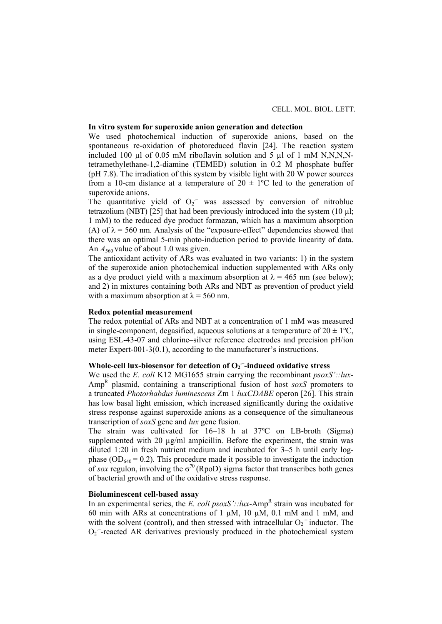# **In vitro system for superoxide anion generation and detection**

We used photochemical induction of superoxide anions, based on the spontaneous re-oxidation of photoreduced flavin [24]. The reaction system included 100  $\mu$ l of 0.05 mM riboflavin solution and 5  $\mu$ l of 1 mM N,N,N,Ntetramethylethane-1,2-diamine (TEMED) solution in 0.2 M phosphate buffer (рН 7.8). The irradiation of this system by visible light with 20 W power sources from a 10-cm distance at a temperature of  $20 \pm 1$ °C led to the generation of superoxide anions.

The quantitative yield of  $O_2$ <sup>-</sup> was assessed by conversion of nitroblue tetrazolium (NBT) [25] that had been previously introduced into the system (10 µl; 1 mM) to the reduced dye product formazan, which has a maximum absorption (A) of  $\lambda$  = 560 nm. Analysis of the "exposure-effect" dependencies showed that there was an optimal 5-min photo-induction period to provide linearity of data. An  $A_{560}$  value of about 1.0 was given.

The antioxidant activity of ARs was evaluated in two variants: 1) in the system of the superoxide anion photochemical induction supplemented with ARs only as a dye product yield with a maximum absorption at  $\lambda = 465$  nm (see below); and 2) in mixtures containing both ARs and NBT as prevention of product yield with a maximum absorption at  $\lambda$  = 560 nm.

# **Redox potential measurement**

The redox potential of ARs and NBT at a concentration of 1 mM was measured in single-component, degasified, aqueous solutions at a temperature of  $20 \pm 1\degree C$ , using ESL-43-07 and chlorine–silver reference electrodes and precision pH/ion meter Expert-001-3(0.1), according to the manufacturer's instructions.

# **Whole-cell lux-biosensor for detection of**  $O_2$ **<sup>--</sup>induced oxidative stress**

We used the *E. coli* K12 MG1655 strain carrying the recombinant *psoxS'::lux-*Amp<sup>R</sup> plasmid, containing a transcriptional fusion of host *soxS* promoters to a truncated *Photorhabdus luminescens* Zm 1 *luxCDABE* operon [26]. This strain has low basal light emission, which increased significantly during the oxidative stress response against superoxide anions as a consequence of the simultaneous transcription of *soxS* gene and *lux* gene fusion*.*

The strain was cultivated for 16–18 h at 37ºC on LB-broth (Sigma) supplemented with 20  $\mu$ g/ml ampicillin. Before the experiment, the strain was diluted 1:20 in fresh nutrient medium and incubated for 3–5 h until early logphase ( $OD<sub>640</sub> = 0.2$ ). This procedure made it possible to investigate the induction of *sox* regulon, involving the  $\sigma^{70}$  (RpoD) sigma factor that transcribes both genes of bacterial growth and of the oxidative stress response.

### **Bioluminescent cell-based assay**

In an experimental series, the *E*. *coli*  $psoxS': \, lux$ -Amp<sup>R</sup> strain was incubated for 60 min with ARs at concentrations of 1  $\mu$ M, 10  $\mu$ M, 0.1 mM and 1 mM, and with the solvent (control), and then stressed with intracellular  $O_2$ <sup>-</sup> inductor. The  $O<sub>2</sub>$  -reacted AR derivatives previously produced in the photochemical system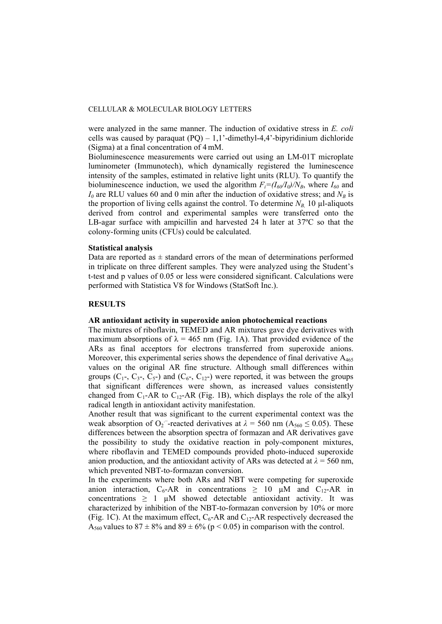were analyzed in the same manner. The induction of oxidative stress in *E. coli* cells was caused by paraquat  $(PQ) - 1,1'$ -dimethyl-4,4'-bipyridinium dichloride (Sigma) at a final concentration of 4 mM.

Bioluminescence measurements were carried out using an LM-01T microplate luminometer (Immunotech), which dynamically registered the luminescence intensity of the samples, estimated in relative light units (RLU). To quantify the bioluminescence induction, we used the algorithm  $F_i = (I_{60}/I_0)/N_B$ , where  $I_{60}$  and  $I_0$  are RLU values 60 and 0 min after the induction of oxidative stress; and  $N_B$  is the proportion of living cells against the control. To determine  $N_B$  10  $\mu$ l-aliquots derived from control and experimental samples were transferred onto the LB-agar surface with ampicillin and harvested 24 h later at 37ºC so that the colony-forming units (CFUs) could be calculated.

# **Statistical analysis**

Data are reported as  $\pm$  standard errors of the mean of determinations performed in triplicate on three different samples. They were analyzed using the Student's t-test and p values of 0.05 or less were considered significant. Calculations were performed with Statistica V8 for Windows (StatSoft Inc.).

# **RESULTS**

# **AR antioxidant activity in superoxide anion photochemical reactions**

The mixtures of riboflavin, TEMED and AR mixtures gave dye derivatives with maximum absorptions of  $\lambda = 465$  nm (Fig. 1A). That provided evidence of the ARs as final acceptors for electrons transferred from superoxide anions. Moreover, this experimental series shows the dependence of final derivative  $A_{465}$ values on the original AR fine structure. Although small differences within groups  $(C_1, C_3, C_5)$  and  $(C_6, C_{12})$  were reported, it was between the groups that significant differences were shown, as increased values consistently changed from  $C_1$ -AR to  $C_{12}$ -AR (Fig. 1B), which displays the role of the alkyl radical length in antioxidant activity manifestation.

Another result that was significant to the current experimental context was the weak absorption of O<sub>2</sub><sup>-</sup>-reacted derivatives at  $\lambda = 560$  nm (A<sub>560</sub>  $\leq$  0.05). These differences between the absorption spectra of formazan and AR derivatives gave the possibility to study the oxidative reaction in poly-component mixtures, where riboflavin and TEMED compounds provided photo-induced superoxide anion production, and the antioxidant activity of ARs was detected at  $\lambda = 560$  nm, which prevented NBT-to-formazan conversion.

In the experiments where both ARs and NBT were competing for superoxide anion interaction, C<sub>6</sub>-AR in concentrations  $\geq 10$  µM and C<sub>12</sub>-AR in concentrations  $\geq 1$  µM showed detectable antioxidant activity. It was characterized by inhibition of the NBT-to-formazan conversion by 10% or more (Fig. 1C). At the maximum effect,  $C_6$ -AR and  $C_{12}$ -AR respectively decreased the A<sub>560</sub> values to  $87 \pm 8\%$  and  $89 \pm 6\%$  ( $p < 0.05$ ) in comparison with the control.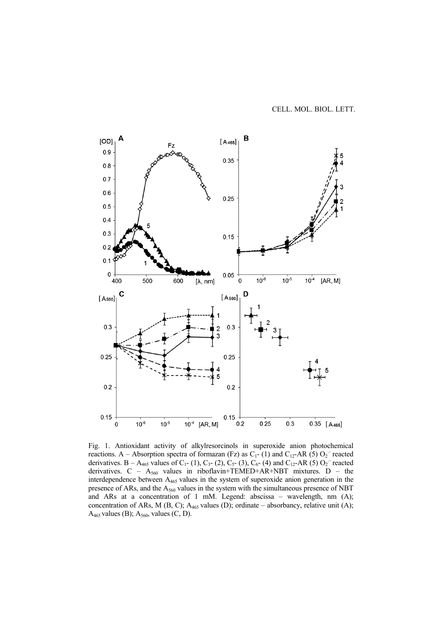

Fig. 1. Antioxidant activity of alkylresorcinols in superoxide anion photochemical reactions. A – Absorption spectra of formazan (Fz) as  $C_1$ -(1) and  $C_{12}$ -AR (5)  $O_2$ <sup>-</sup> reacted derivatives. B – A<sub>465</sub> values of C<sub>1</sub>- (1), C<sub>3</sub>- (2), C<sub>5</sub>- (3), C<sub>6</sub>- (4) and C<sub>12</sub>-AR (5) O<sub>2</sub><sup>-</sup> reacted derivatives.  $C - A_{560}$  values in riboflavin+TEMED+AR+NBT mixtures. D – the interdependence between A465 values in the system of superoxide anion generation in the presence of ARs, and the  $A_{560}$  values in the system with the simultaneous presence of NBT and ARs at a concentration of 1 mM. Legend: abscissa – wavelength, nm (A); concentration of ARs, M (B, C);  $A_{465}$  values (D); ordinate – absorbancy, relative unit (A);  $A_{465}$  values (B);  $A_{560}$ , values (C, D).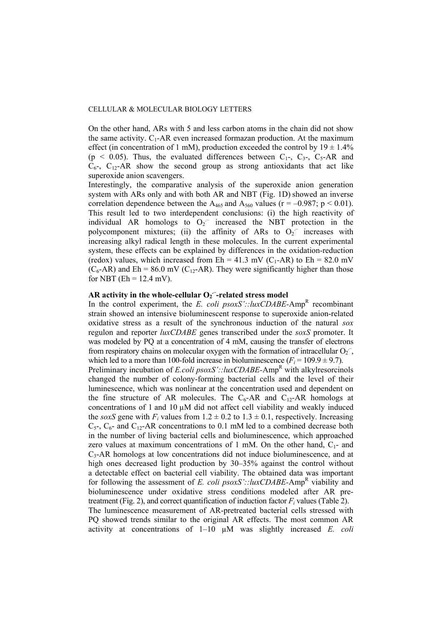On the other hand, ARs with 5 and less carbon atoms in the chain did not show the same activity.  $C_1$ -AR even increased formazan production. At the maximum effect (in concentration of 1 mM), production exceeded the control by  $19 \pm 1.4\%$  $(p \le 0.05)$ . Thus, the evaluated differences between  $C_1$ -,  $C_3$ -,  $C_5$ -AR and  $C_{6}$ ,  $C_{12}$ -AR show the second group as strong antioxidants that act like superoxide anion scavengers.

Interestingly, the comparative analysis of the superoxide anion generation system with ARs only and with both AR and NBT (Fig. 1D) showed an inverse correlation dependence between the A<sub>465</sub> and A<sub>560</sub> values ( $r = -0.987$ ;  $p < 0.01$ ). This result led to two interdependent conclusions: (i) the high reactivity of individual AR homologs to  $O_2$ <sup>-</sup> increased the NBT protection in the polycomponent mixtures; (ii) the affinity of ARs to  $O_2$ <sup>-</sup> increases with increasing alkyl radical length in these molecules. In the current experimental system, these effects can be explained by differences in the oxidation-reduction (redox) values, which increased from  $Eh = 41.3$  mV (C<sub>1</sub>-AR) to  $Eh = 82.0$  mV  $(C_6$ -AR) and Eh = 86.0 mV (C<sub>12</sub>-AR). They were significantly higher than those for NBT ( $Eh = 12.4$  mV).

# **AR activity in the whole-cellular**  $O_2$ **<sup>-</sup>-related stress model**

In the control experiment, the *E. coli*  $psoxS': lluxCDABE$ -Amp<sup>R</sup> recombinantstrain showed an intensive bioluminescent response to superoxide anion-related oxidative stress as a result of the synchronous induction of the natural *sox* regulon and reporter *luxCDABE* genes transcribed under the *soxS* promoter. It was modeled by PQ at a concentration of 4 mM, causing the transfer of electrons from respiratory chains on molecular oxygen with the formation of intracellular  $O_2^-$ , which led to a more than 100-fold increase in bioluminescence  $(F<sub>i</sub> = 109.9 \pm 9.7)$ . Preliminary incubation of *E.coli psoxS'::luxCDABE*-Amp<sup>R</sup> with alkylresorcinols changed the number of colony-forming bacterial cells and the level of their luminescence, which was nonlinear at the concentration used and dependent on the fine structure of AR molecules. The  $C_6$ -AR and  $C_{12}$ -AR homologs at concentrations of 1 and 10  $\mu$ M did not affect cell viability and weakly induced the *soxS* gene with  $F_i$  values from  $1.2 \pm 0.2$  to  $1.3 \pm 0.1$ , respectively. Increasing  $C_{5}$ ,  $C_{6}$ - and  $C_{12}$ -AR concentrations to 0.1 mM led to a combined decrease both in the number of living bacterial cells and bioluminescence, which approached zero values at maximum concentrations of 1 mM. On the other hand,  $C_1$ - and  $C<sub>3</sub>$ -AR homologs at low concentrations did not induce bioluminescence, and at high ones decreased light production by 30–35% against the control without a detectable effect on bacterial cell viability. The obtained data was important for following the assessment of *E. coli psoxS'::luxCDABE*-Amp<sup>R</sup> viability and bioluminescence under oxidative stress conditions modeled after AR pretreatment (Fig. 2), and correct quantification of induction factor  $F_i$  values (Table 2). The luminescence measurement of AR-pretreated bacterial cells stressed with PQ showed trends similar to the original AR effects. The most common AR activity at concentrations of 1–10 µM was slightly increased *E. coli*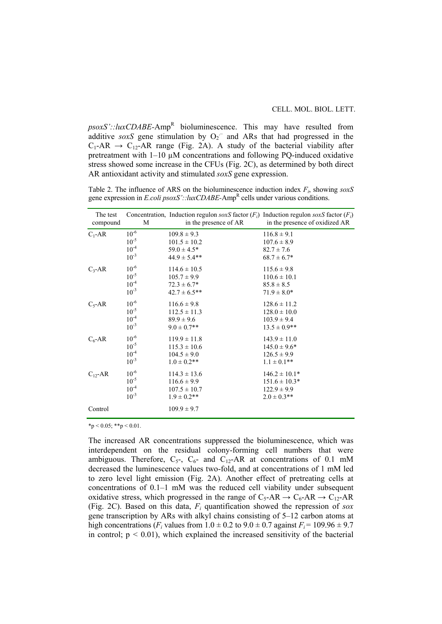$psoxS': \text{luxCDABE-Amp}^R$  bioluminescence. This may have resulted from additive *soxS* gene stimulation by  $O_2$ <sup>-</sup> and ARs that had progressed in the  $C_1$ -AR  $\rightarrow$  C<sub>12</sub>-AR range (Fig. 2A). A study of the bacterial viability after pretreatment with  $1-10 \mu M$  concentrations and following PQ-induced oxidative stress showed some increase in the CFUs (Fig. 2C), as determined by both direct AR antioxidant activity and stimulated *soxS* gene expression.

Table 2. The influence of ARS on the bioluminescence induction index *Fi*, showing *soxS* gene expression in *E.coli psoxS'::luxCDABE-*AmpR cells under various conditions.

| The test<br>compound | M         | Concentration, Induction regulon soxS factor $(F_i)$ Induction regulon soxS factor $(F_i)$<br>in the presence of AR | in the presence of oxidized AR |
|----------------------|-----------|---------------------------------------------------------------------------------------------------------------------|--------------------------------|
| $C_1$ -AR            | $10^{-6}$ | $109.8 \pm 9.3$                                                                                                     | $116.8 \pm 9.1$                |
|                      | $10^{-5}$ | $101.5 \pm 10.2$                                                                                                    | $107.6 \pm 8.9$                |
|                      | $10^{-4}$ | $59.0 \pm 4.5*$                                                                                                     | $82.7 \pm 7.6$                 |
|                      | $10^{-3}$ | $44.9 \pm 5.4$ **                                                                                                   | $68.7 \pm 6.7*$                |
| $C_3$ -AR            | $10^{-6}$ | $114.6 \pm 10.5$                                                                                                    | $115.6 \pm 9.8$                |
|                      | $10^{-5}$ | $105.7 \pm 9.9$                                                                                                     | $110.6 \pm 10.1$               |
|                      | $10^{-4}$ | $72.3 \pm 6.7^*$                                                                                                    | $85.8 \pm 8.5$                 |
|                      | $10^{-3}$ | $42.7 \pm 6.5$ **                                                                                                   | $71.9 \pm 8.0*$                |
| $C_5$ -AR            | $10^{-6}$ | $116.6 \pm 9.8$                                                                                                     | $128.6 \pm 11.2$               |
|                      | $10^{-5}$ | $112.5 \pm 11.3$                                                                                                    | $128.0 \pm 10.0$               |
|                      | $10^{-4}$ | $89.9 \pm 9.6$                                                                                                      | $103.9 \pm 9.4$                |
|                      | $10^{-3}$ | $9.0 \pm 0.7$ **                                                                                                    | $13.5 \pm 0.9$ **              |
| $C_6$ -AR            | $10^{-6}$ | $119.9 \pm 11.8$                                                                                                    | $143.9 \pm 11.0$               |
|                      | $10^{-5}$ | $115.3 \pm 10.6$                                                                                                    | $145.0 \pm 9.6^*$              |
|                      | $10^{-4}$ | $104.5 \pm 9.0$                                                                                                     | $126.5 \pm 9.9$                |
|                      | $10^{-3}$ | $1.0 \pm 0.2$ **                                                                                                    | $1.1 \pm 0.1$ **               |
| $C_{12}$ -AR         | $10^{-6}$ | $114.3 \pm 13.6$                                                                                                    | $146.2 \pm 10.1*$              |
|                      | $10^{-5}$ | $116.6 \pm 9.9$                                                                                                     | $151.6 \pm 10.3*$              |
|                      | $10^{-4}$ | $107.5 \pm 10.7$                                                                                                    | $122.9 \pm 9.9$                |
|                      | $10^{-3}$ | $1.9 \pm 0.2$ **                                                                                                    | $2.0 \pm 0.3$ **               |
| Control              |           | $109.9 \pm 9.7$                                                                                                     |                                |

 $*p < 0.05; **p < 0.01$ .

The increased AR concentrations suppressed the bioluminescence, which was interdependent on the residual colony-forming cell numbers that were ambiguous. Therefore,  $C_5$ -,  $C_6$ - and  $C_{12}$ -AR at concentrations of 0.1 mM decreased the luminescence values two-fold, and at concentrations of 1 mM led to zero level light emission (Fig. 2A). Another effect of pretreating cells at concentrations of 0.1–1 mM was the reduced cell viability under subsequent oxidative stress, which progressed in the range of  $C_5$ -AR  $\rightarrow C_6$ -AR  $\rightarrow C_{12}$ -AR (Fig. 2C). Based on this data,  $F_i$  quantification showed the repression of *sox* gene transcription by ARs with alkyl chains consisting of 5–12 carbon atoms at high concentrations ( $F_i$  values from  $1.0 \pm 0.2$  to  $9.0 \pm 0.7$  against  $F_i = 109.96 \pm 9.7$ in control;  $p < 0.01$ ), which explained the increased sensitivity of the bacterial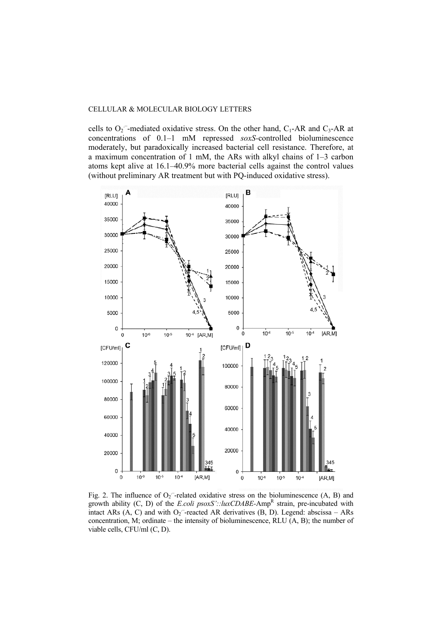cells to  $O_2$ <sup>-</sup>-mediated oxidative stress. On the other hand,  $C_1$ -AR and  $C_3$ -AR at concentrations of 0.1–1 mM repressed *soxS-*controlled bioluminescence moderately, but paradoxically increased bacterial cell resistance. Therefore, at a maximum concentration of 1 mM, the ARs with alkyl chains of 1–3 carbon atoms kept alive at 16.1–40.9% more bacterial cells against the control values (without preliminary AR treatment but with PQ-induced oxidative stress).



Fig. 2. The influence of  $O_2$ <sup>-</sup>-related oxidative stress on the bioluminescence (A, B) and growth ability  $(C, D)$  of the *E.coli psoxS'::luxCDABE*-Amp<sup>R</sup> strain, pre-incubated with intact ARs  $(A, C)$  and with  $O_2$ <sup>-</sup>-reacted AR derivatives  $(B, D)$ . Legend: abscissa – ARs concentration, М; ordinate – the intensity of bioluminescence, RLU (A, B); the number of viable cells, CFU/ml (C, D).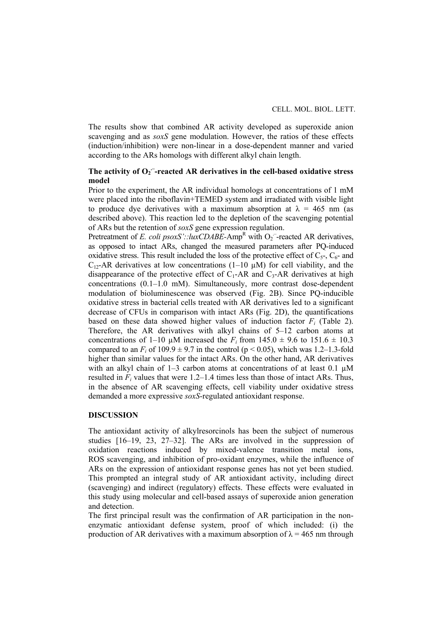The results show that combined AR activity developed as superoxide anion scavenging and as *soxS* gene modulation. However, the ratios of these effects (induction/inhibition) were non-linear in a dose-dependent manner and varied according to the ARs homologs with different alkyl chain length.

# The activity of O<sub>2</sub><sup>-</sup>-reacted AR derivatives in the cell-based oxidative stress **model**

Prior to the experiment, the AR individual homologs at concentrations of 1 mM were placed into the riboflavin+TEMED system and irradiated with visible light to produce dye derivatives with a maximum absorption at  $\lambda = 465$  nm (as described above). This reaction led to the depletion of the scavenging potential of ARs but the retention of *soxS* gene expression regulation.

Pretreatment of *E. coli psoxS'::luxCDABE*-Amp<sup>R</sup> with O<sub>2</sub><sup>-</sup>-reacted AR derivatives, as opposed to intact ARs, changed the measured parameters after PQ-induced oxidative stress. This result included the loss of the protective effect of  $C_{5}$ ,  $C_{6}$ - and  $C_{12}$ -AR derivatives at low concentrations (1–10  $\mu$ M) for cell viability, and the disappearance of the protective effect of  $C_1$ -AR and  $C_3$ -AR derivatives at high concentrations (0.1–1.0 mM). Simultaneously, more contrast dose-dependent modulation of bioluminescence was observed (Fig. 2B). Since PQ-inducible oxidative stress in bacterial cells treated with AR derivatives led to a significant decrease of CFUs in comparison with intact ARs (Fig. 2D), the quantifications based on these data showed higher values of induction factor  $F_i$  (Table 2). Therefore, the AR derivatives with alkyl chains of 5–12 carbon atoms at concentrations of 1–10  $\mu$ M increased the *F<sub>i</sub>* from 145.0  $\pm$  9.6 to 151.6  $\pm$  10.3 compared to an  $F_i$  of 109.9  $\pm$  9.7 in the control (p < 0.05), which was 1.2–1.3-fold higher than similar values for the intact ARs. On the other hand, AR derivatives with an alkyl chain of  $1-3$  carbon atoms at concentrations of at least 0.1  $\mu$ M resulted in  $F_i$  values that were 1.2–1.4 times less than those of intact ARs. Thus, in the absence of AR scavenging effects, cell viability under oxidative stress demanded a more expressive *soxS*-regulated antioxidant response.

### **DISCUSSION**

The antioxidant activity of alkylresorcinols has been the subject of numerous studies [16–19, 23, 27–32]. The ARs are involved in the suppression of oxidation reactions induced by mixed-valence transition metal ions, ROS scavenging, and inhibition of pro-oxidant enzymes, while the influence of ARs on the expression of antioxidant response genes has not yet been studied. This prompted an integral study of AR antioxidant activity, including direct (scavenging) and indirect (regulatory) effects. These effects were evaluated in this study using molecular and cell-based assays of superoxide anion generation and detection.

The first principal result was the confirmation of AR participation in the nonenzymatic antioxidant defense system, proof of which included: (i) the production of AR derivatives with a maximum absorption of  $\lambda = 465$  nm through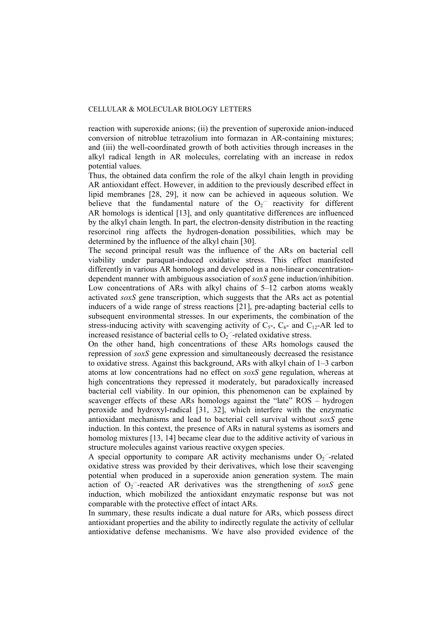reaction with superoxide anions; (ii) the prevention of superoxide anion-induced conversion of nitroblue tetrazolium into formazan in AR-containing mixtures; and (iii) the well-coordinated growth of both activities through increases in the alkyl radical length in AR molecules, correlating with an increase in redox potential values.

Thus, the obtained data confirm the role of the alkyl chain length in providing AR antioxidant effect. However, in addition to the previously described effect in lipid membranes [28, 29], it now can be achieved in aqueous solution. We believe that the fundamental nature of the  $O_2$ <sup>-</sup> reactivity for different AR homologs is identical [13], and only quantitative differences are influenced by the alkyl chain length. In part, the electron-density distribution in the reacting resorcinol ring affects the hydrogen-donation possibilities, which may be determined by the influence of the alkyl chain [30].

The second principal result was the influence of the ARs on bacterial cell viability under paraquat-induced oxidative stress. This effect manifested differently in various AR homologs and developed in a non-linear concentrationdependent manner with ambiguous association of *soxS* gene induction/inhibition. Low concentrations of ARs with alkyl chains of 5–12 carbon atoms weakly activated *soxS* gene transcription, which suggests that the ARs act as potential inducers of a wide range of stress reactions [21], pre-adapting bacterial cells to subsequent environmental stresses. In our experiments, the combination of the stress-inducing activity with scavenging activity of  $C_{5}$ ,  $C_{6}$ - and  $C_{12}$ -AR led to increased resistance of bacterial cells to  $O_2$  -related oxidative stress.

On the other hand, high concentrations of these ARs homologs caused the repression of *soxS* gene expression and simultaneously decreased the resistance to oxidative stress. Against this background, ARs with alkyl chain of 1–3 carbon atoms at low concentrations had no effect on *soxS* gene regulation, whereas at high concentrations they repressed it moderately, but paradoxically increased bacterial cell viability. In our opinion, this phenomenon can be explained by scavenger effects of these ARs homologs against the "late" ROS – hydrogen peroxide and hydroxyl-radical [31, 32], which interfere with the enzymatic antioxidant mechanisms and lead to bacterial cell survival without *soxS* gene induction. In this context, the presence of ARs in natural systems as isomers and homolog mixtures [13, 14] became clear due to the additive activity of various in structure molecules against various reactive oxygen species.

A special opportunity to compare AR activity mechanisms under  $O_2$  -related oxidative stress was provided by their derivatives, which lose their scavenging potential when produced in a superoxide anion generation system. The main action of  $O_2$ <sup>-</sup>-reacted AR derivatives was the strengthening of *soxS* gene induction, which mobilized the antioxidant enzymatic response but was not comparable with the protective effect of intact ARs.

In summary, these results indicate a dual nature for ARs, which possess direct antioxidant properties and the ability to indirectly regulate the activity of cellular antioxidative defense mechanisms. We have also provided evidence of the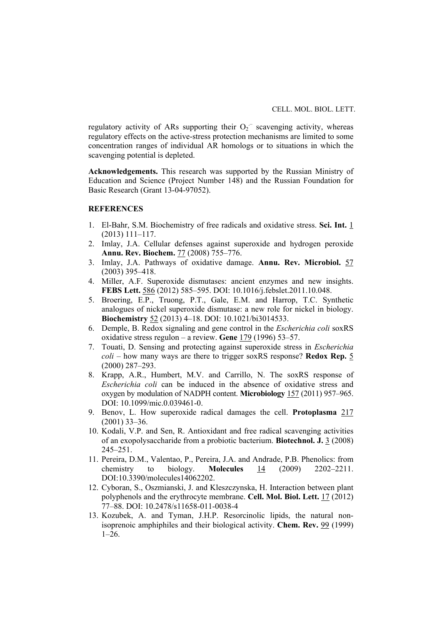regulatory activity of ARs supporting their  $O_2$ <sup>-</sup> scavenging activity, whereas regulatory effects on the active-stress protection mechanisms are limited to some concentration ranges of individual AR homologs or to situations in which the scavenging potential is depleted.

**Acknowledgements.** This research was supported by the Russian Ministry of Education and Science (Project Number 148) and the Russian Foundation for Basic Research (Grant 13-04-97052).

# **REFERENCES**

- 1. El-Bahr, S.M. Biochemistry of free radicals and oxidative stress. **Sci. Int.** 1 (2013) 111–117.
- 2. Imlay, J.A. Cellular defenses against superoxide and hydrogen peroxide **Annu. Rev. Biochem.** 77 (2008) 755–776.
- 3. Imlay, J.A. Pathways of oxidative damage. **Annu. Rev. Microbiol.** 57 (2003) 395–418.
- 4. Miller, A.F. Superoxide dismutases: ancient enzymes and new insights. **FEBS Lett.** 586 (2012) 585–595. DOI: 10.1016/j.febslet.2011.10.048.
- 5. Broering, E.P., Truong, P.T., Gale, E.M. and Harrop, T.C. Synthetic analogues of nickel superoxide dismutase: a new role for nickel in biology. **Biochemistry** 52 (2013) 4–18. DOI: 10.1021/bi3014533.
- 6. Demple, B. Redox signaling and gene control in the *Escherichia coli* soxRS oxidative stress regulon – a review. **Gene** 179 (1996) 53–57.
- 7. Touati, D. Sensing and protecting against superoxide stress in *Escherichia coli* – how many ways are there to trigger soxRS response? **Redox Rep.** 5 (2000) 287–293.
- 8. Krapp, A.R., Humbert, M.V. and Carrillo, N. The soxRS response of *Escherichia coli* can be induced in the absence of oxidative stress and oxygen by modulation of NADPH content. **Microbiology** 157 (2011) 957–965. DOI: 10.1099/mic.0.039461-0.
- 9. Benov, L. How superoxide radical damages the cell. **Protoplasma** 217 (2001) 33–36.
- 10. Kodali, V.P. and Sen, R. Antioxidant and free radical scavenging activities of an exopolysaccharide from a probiotic bacterium. **Biotechnol. J.** 3 (2008) 245–251.
- 11. Pereira, D.M., Valentao, P., Pereira, J.A. and Andrade, P.B. Phenolics: from chemistry to biology. **Molecules** 14 (2009) 2202–2211. DOI:10.3390/molecules14062202.
- 12. Cyboran, S., Oszmianski, J. and Kleszczynska, H. Interaction between plant polyphenols and the erythrocyte membrane. **Cell. Mol. Biol. Lett.** 17 (2012) 77–88. DOI: 10.2478/s11658-011-0038-4
- 13. Kozubek, A. and Tyman, J.H.P. Resorcinolic lipids, the natural nonisoprenoic amphiphiles and their biological activity. **Chem. Rev.** 99 (1999)  $1-26$ .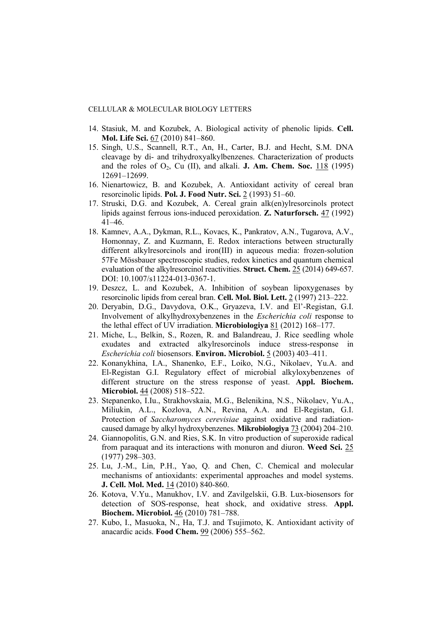- 14. Stasiuk, M. and Kozubek, A. Biological activity of phenolic lipids. **Cell. Mol. Life Sci.** 67 (2010) 841–860.
- 15. Singh, U.S., Scannell, R.T., An, H., Carter, B.J. and Hecht, S.M. DNA cleavage by di- and trihydroxyalkylbenzenes. Characterization of products and the roles of  $O_2$ , Cu (II), and alkali. **J. Am. Chem. Soc.** 118 (1995) 12691–12699.
- 16. Nienartowicz, B. and Kozubek, A. Antioxidant activity of cereal bran resorcinolic lipids. **Pol. J. Food Nutr. Sci.** 2 (1993) 51–60.
- 17. Struski, D.G. and Kozubek, A. Cereal grain alk(en)ylresorcinols protect lipids against ferrous ions-induced peroxidation. **Z. Naturforsch.** 47 (1992) 41–46.
- 18. Kamnev, A.A., Dykman, R.L., Kovacs, K., Pankratov, A.N., Tugarova, A.V., Homonnay, Z. and Kuzmann, E. Redox interactions between structurally different alkylresorcinols and iron(III) in aqueous media: frozen-solution 57Fe Mössbauer spectroscopic studies, redox kinetics and quantum chemical evaluation of the alkylresorcinol reactivities. **Struct. Chem.** 25 (2014) 649-657. DOI: 10.1007/s11224-013-0367-1.
- 19. Deszcz, L. and Kozubek, A. Inhibition of soybean lipoxygenases by resorcinolic lipids from cereal bran. **Cell. Mol. Biol. Lett.** 2 (1997) 213–222.
- 20. Deryabin, D.G., Davydova, O.K., Gryazeva, I.V. and El'-Registan, G.I. Involvement of alkylhydroxybenzenes in the *Escherichia coli* response to the lethal effect of UV irradiation. **Microbiologiya** 81 (2012) 168–177.
- 21. Miche, L., Belkin, S., Rozen, R. and Balandreau, J. Rice seedling whole exudates and extracted alkylresorcinols induce stress-response in *Escherichia coli* biosensors. **Environ. Microbiol.** 5 (2003) 403–411.
- 22. Konanykhina, I.A., Shanenko, E.F., Loiko, N.G., Nikolaev, Yu.A. and El-Registan G.I. Regulatory effect of microbial alkyloxybenzenes of different structure on the stress response of yeast. **Appl. Biochem. Microbiol.** 44 (2008) 518–522.
- 23. Stepanenko, I.Iu., Strakhovskaia, M.G., Belenikina, N.S., Nikolaev, Yu.A., Miliukin, A.L., Kozlova, A.N., Revina, A.A. and El-Registan, G.I. Protection of *Saccharomyces cerevisiae* against oxidative and radiationcaused damage by alkyl hydroxybenzenes. **Mikrobiologiya** 73 (2004) 204–210.
- 24. Giannopolitis, G.N. and Ries, S.K. In vitro production of superoxide radical from paraquat and its interactions with monuron and diuron. **Weed Sci.** 25 (1977) 298–303.
- 25. Lu, J.-M., Lin, P.H., Yao, Q. and Chen, C. Chemical and molecular mechanisms of antioxidants: experimental approaches and model systems. **J. Cell. Mol. Med.** 14 (2010) 840-860.
- 26. Kotova, V.Yu., Manukhov, I.V. and Zavilgelskii, G.B. Lux-biosensors for detection of SOS-response, heat shock, and oxidative stress. **Appl. Biochem. Microbiol.** 46 (2010) 781–788.
- 27. Kubo, I., Masuoka, N., Ha, T.J. and Tsujimoto, K. Antioxidant activity of anacardic acids. **Food Chem.** 99 (2006) 555–562.